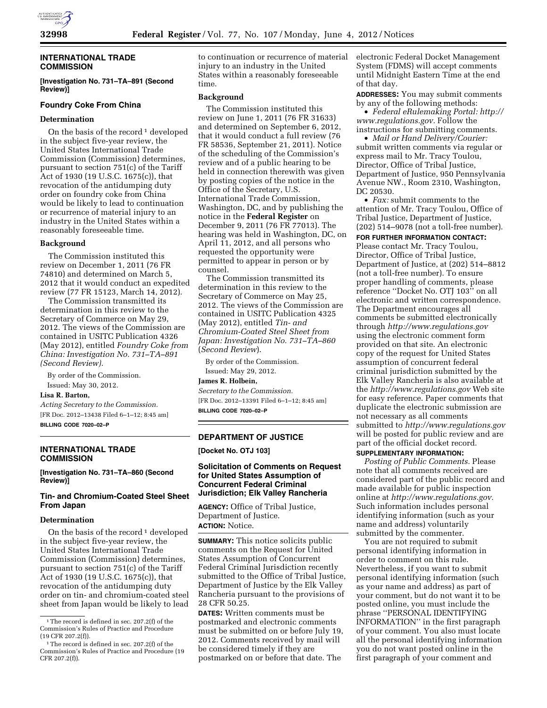

# **INTERNATIONAL TRADE COMMISSION**

#### **[Investigation No. 731–TA–891 (Second Review)]**

#### **Foundry Coke From China**

#### **Determination**

On the basis of the record<sup>1</sup> developed in the subject five-year review, the United States International Trade Commission (Commission) determines, pursuant to section 751(c) of the Tariff Act of 1930 (19 U.S.C. 1675(c)), that revocation of the antidumping duty order on foundry coke from China would be likely to lead to continuation or recurrence of material injury to an industry in the United States within a reasonably foreseeable time.

#### **Background**

The Commission instituted this review on December 1, 2011 (76 FR 74810) and determined on March 5, 2012 that it would conduct an expedited review (77 FR 15123, March 14, 2012).

The Commission transmitted its determination in this review to the Secretary of Commerce on May 29, 2012. The views of the Commission are contained in USITC Publication 4326 (May 2012), entitled *Foundry Coke from China: Investigation No. 731–TA–891 (Second Review).* 

By order of the Commission. Issued: May 30, 2012.

**Lisa R. Barton,** 

*Acting Secretary to the Commission.*  [FR Doc. 2012–13438 Filed 6–1–12; 8:45 am] **BILLING CODE 7020–02–P** 

## **INTERNATIONAL TRADE COMMISSION**

**[Investigation No. 731–TA–860 (Second Review)]** 

# **Tin- and Chromium-Coated Steel Sheet From Japan**

#### **Determination**

On the basis of the record  $1$  developed in the subject five-year review, the United States International Trade Commission (Commission) determines, pursuant to section 751(c) of the Tariff Act of 1930 (19 U.S.C. 1675(c)), that revocation of the antidumping duty order on tin- and chromium-coated steel sheet from Japan would be likely to lead

to continuation or recurrence of material injury to an industry in the United States within a reasonably foreseeable time.

## **Background**

The Commission instituted this review on June 1, 2011 (76 FR 31633) and determined on September 6, 2012, that it would conduct a full review (76 FR 58536, September 21, 2011). Notice of the scheduling of the Commission's review and of a public hearing to be held in connection therewith was given by posting copies of the notice in the Office of the Secretary, U.S. International Trade Commission, Washington, DC, and by publishing the notice in the **Federal Register** on December 9, 2011 (76 FR 77013). The hearing was held in Washington, DC, on April 11, 2012, and all persons who requested the opportunity were permitted to appear in person or by counsel.

The Commission transmitted its determination in this review to the Secretary of Commerce on May 25, 2012. The views of the Commission are contained in USITC Publication 4325 (May 2012), entitled *Tin- and Chromium-Coated Steel Sheet from Japan: Investigation No. 731–TA–860*  (*Second Review*).

By order of the Commission. Issued: May 29, 2012.

## **James R. Holbein,**

*Secretary to the Commission.*  [FR Doc. 2012–13391 Filed 6–1–12; 8:45 am] **BILLING CODE 7020–02–P** 

## **DEPARTMENT OF JUSTICE**

**[Docket No. OTJ 103]** 

# **Solicitation of Comments on Request for United States Assumption of Concurrent Federal Criminal Jurisdiction; Elk Valley Rancheria**

**AGENCY:** Office of Tribal Justice, Department of Justice. **ACTION:** Notice.

**SUMMARY:** This notice solicits public comments on the Request for United States Assumption of Concurrent Federal Criminal Jurisdiction recently submitted to the Office of Tribal Justice, Department of Justice by the Elk Valley Rancheria pursuant to the provisions of 28 CFR 50.25.

**DATES:** Written comments must be postmarked and electronic comments must be submitted on or before July 19, 2012. Comments received by mail will be considered timely if they are postmarked on or before that date. The

electronic Federal Docket Management System (FDMS) will accept comments until Midnight Eastern Time at the end of that day.

**ADDRESSES:** You may submit comments by any of the following methods:

• *Federal eRulemaking Portal: [http://](http://www.regulations.gov)  [www.regulations.gov.](http://www.regulations.gov)* Follow the instructions for submitting comments.

• *Mail or Hand Delivery/Courier:*  submit written comments via regular or express mail to Mr. Tracy Toulou, Director, Office of Tribal Justice, Department of Justice, 950 Pennsylvania Avenue NW., Room 2310, Washington, DC 20530.

• *Fax:* submit comments to the attention of Mr. Tracy Toulou, Office of Tribal Justice, Department of Justice, (202) 514–9078 (not a toll-free number). **FOR FURTHER INFORMATION CONTACT:**  Please contact Mr. Tracy Toulou, Director, Office of Tribal Justice, Department of Justice, at (202) 514–8812 (not a toll-free number). To ensure proper handling of comments, please reference ''Docket No. OTJ 103'' on all electronic and written correspondence. The Department encourages all comments be submitted electronically through *<http://www.regulations.gov>*  using the electronic comment form provided on that site. An electronic copy of the request for United States assumption of concurrent federal criminal jurisdiction submitted by the Elk Valley Rancheria is also available at the *<http://www.regulations.gov>*Web site for easy reference. Paper comments that duplicate the electronic submission are not necessary as all comments submitted to *<http://www.regulations.gov>* will be posted for public review and are part of the official docket record.

# **SUPPLEMENTARY INFORMATION:**

*Posting of Public Comments.* Please note that all comments received are considered part of the public record and made available for public inspection online at *[http://www.regulations.gov.](http://www.regulations.gov)*  Such information includes personal identifying information (such as your name and address) voluntarily submitted by the commenter.

You are not required to submit personal identifying information in order to comment on this rule. Nevertheless, if you want to submit personal identifying information (such as your name and address) as part of your comment, but do not want it to be posted online, you must include the phrase ''PERSONAL IDENTIFYING INFORMATION'' in the first paragraph of your comment. You also must locate all the personal identifying information you do not want posted online in the first paragraph of your comment and

<sup>&</sup>lt;sup>1</sup>The record is defined in sec. 207.2(f) of the Commission's Rules of Practice and Procedure (19 CFR 207.2(f)).

<sup>&</sup>lt;sup>1</sup>The record is defined in sec. 207.2(f) of the Commission's Rules of Practice and Procedure (19 CFR 207.2(f)).